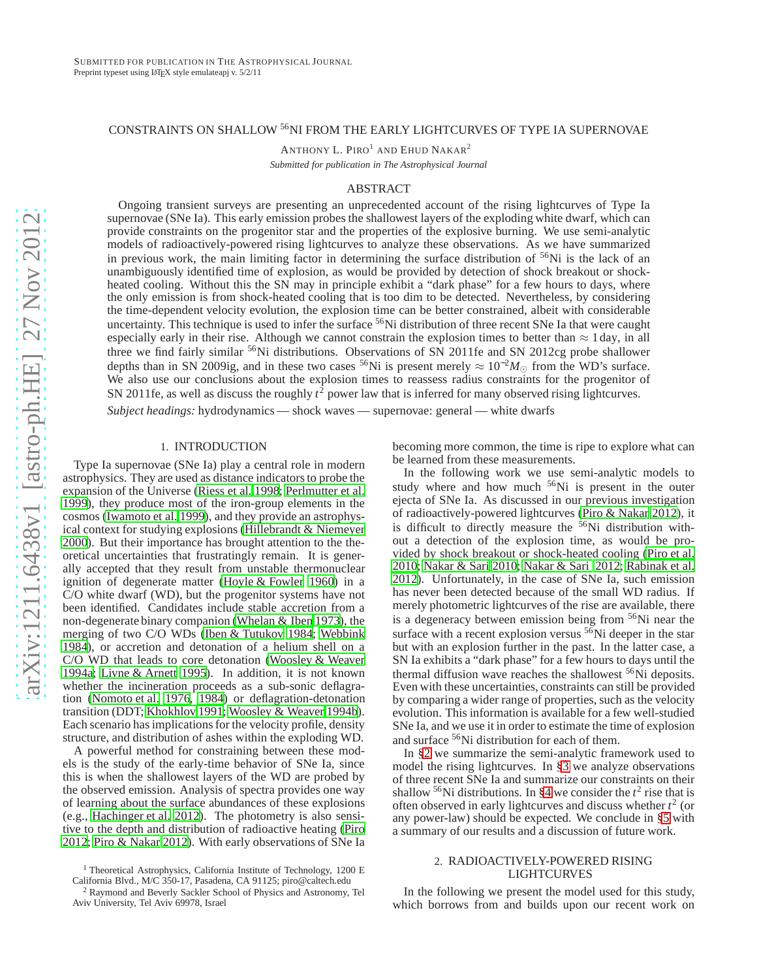## CONSTRAINTS ON SHALLOW <sup>56</sup>NI FROM THE EARLY LIGHTCURVES OF TYPE IA SUPERNOVAE

ANTHONY L. PIRO<sup>1</sup> AND EHUD NAKAR<sup>2</sup>

*Submitted for publication in The Astrophysical Journal*

## ABSTRACT

Ongoing transient surveys are presenting an unprecedented account of the rising lightcurves of Type Ia supernovae (SNe Ia). This early emission probes the shallowest layers of the exploding white dwarf, which can provide constraints on the progenitor star and the properties of the explosive burning. We use semi-analytic models of radioactively-powered rising lightcurves to analyze these observations. As we have summarized in previous work, the main limiting factor in determining the surface distribution of  $56$ Ni is the lack of an unambiguously identified time of explosion, as would be provided by detection of shock breakout or shockheated cooling. Without this the SN may in principle exhibit a "dark phase" for a few hours to days, where the only emission is from shock-heated cooling that is too dim to be detected. Nevertheless, by considering the time-dependent velocity evolution, the explosion time can be better constrained, albeit with considerable uncertainty. This technique is used to infer the surface <sup>56</sup>Ni distribution of three recent SNe Ia that were caught especially early in their rise. Although we cannot constrain the explosion times to better than  $\approx$  1 day, in all three we find fairly similar <sup>56</sup>Ni distributions. Observations of SN 2011fe and SN 2012cg probe shallower depths than in SN 2009ig, and in these two cases <sup>56</sup>Ni is present merely <sup>≈</sup> <sup>10</sup>−<sup>2</sup>*M*<sup>⊙</sup> from the WD's surface. We also use our conclusions about the explosion times to reassess radius constraints for the progenitor of SN 2011fe, as well as discuss the roughly  $t^2$  power law that is inferred for many observed rising lightcurves.

*Subject headings:* hydrodynamics — shock waves — supernovae: general — white dwarfs

#### 1. INTRODUCTION

Type Ia supernovae (SNe Ia) play a central role in modern astrophysics. They are used as distance indicators to probe the expansion of the Universe [\(Riess et al. 1998;](#page-8-0) [Perlmutter et al.](#page-8-1) [1999\)](#page-8-1), they produce most of the iron-group elements in the cosmos [\(Iwamoto et al. 1999\)](#page-7-0), and they provide an astrophysical context for studying explosions [\(Hillebrandt & Niemeyer](#page-7-1) [2000\)](#page-7-1). But their importance has brought attention to the theoretical uncertainties that frustratingly remain. It is generally accepted that they result from unstable thermonuclear ignition of degenerate matter [\(Hoyle & Fowler 1960](#page-7-2)) in a C/O white dwarf (WD), but the progenitor systems have not been identified. Candidates include stable accretion from a non-degenerate binary companion [\(Whelan & Iben 1973\)](#page-8-2), the merging of two C/O WDs [\(Iben & Tutukov 1984;](#page-7-3) [Webbink](#page-8-3) [1984\)](#page-8-3), or accretion and detonation of a helium shell on a C/O WD that leads to core detonation [\(Woosley & Weaver](#page-8-4) [1994a](#page-8-4); [Livne & Arnett 1995\)](#page-8-5). In addition, it is not known whether the incineration proceeds as a sub-sonic deflagration [\(Nomoto et al. 1976,](#page-8-6) [1984\)](#page-8-7) or deflagration-detonation transition (DDT; [Khokhlov 1991;](#page-8-8) [Woosley & Weaver 1994b\)](#page-8-9). Each scenario has implications for the velocity profile, density structure, and distribution of ashes within the exploding WD.

A powerful method for constraining between these models is the study of the early-time behavior of SNe Ia, since this is when the shallowest layers of the WD are probed by the observed emission. Analysis of spectra provides one way of learning about the surface abundances of these explosions (e.g., [Hachinger et al. 2012\)](#page-7-4). The photometry is also sensitive to the depth and distribution of radioactive heating [\(Piro](#page-8-10) [2012;](#page-8-10) [Piro & Nakar 2012\)](#page-8-11). With early observations of SNe Ia becoming more common, the time is ripe to explore what can be learned from these measurements.

In the following work we use semi-analytic models to study where and how much  $56Ni$  is present in the outer ejecta of SNe Ia. As discussed in our previous investigation of radioactively-powered lightcurves [\(Piro & Nakar 2012\)](#page-8-11), it is difficult to directly measure the <sup>56</sup>Ni distribution without a detection of the explosion time, as would be provided by shock breakout or shock-heated cooling [\(Piro et al.](#page-8-12) [2010;](#page-8-12) [Nakar & Sari 2010;](#page-8-13) [Nakar & Sari 2012;](#page-8-14) [Rabinak et al.](#page-8-15) [2012\)](#page-8-15). Unfortunately, in the case of SNe Ia, such emission has never been detected because of the small WD radius. If merely photometric lightcurves of the rise are available, there is a degeneracy between emission being from <sup>56</sup>Ni near the surface with a recent explosion versus  $5\overline{6}$ Ni deeper in the star but with an explosion further in the past. In the latter case, a SN Ia exhibits a "dark phase" for a few hours to days until the thermal diffusion wave reaches the shallowest  $56Ni$  deposits. Even with these uncertainties, constraints can still be provided by comparing a wider range of properties, such as the velocity evolution. This information is available for a few well-studied SNe Ia, and we use it in order to estimate the time of explosion and surface <sup>56</sup>Ni distribution for each of them.

In [§2](#page-0-0) we summarize the semi-analytic framework used to model the rising lightcurves. In [§3](#page-1-0) we analyze observations of three recent SNe Ia and summarize our constraints on their shallow <sup>56</sup>Ni distributions. In [§4](#page-6-0) we consider the  $t^2$  rise that is often observed in early lightcurves and discuss whether *t* 2 (or any power-law) should be expected. We conclude in [§5](#page-7-5) with a summary of our results and a discussion of future work.

#### <span id="page-0-0"></span>2. RADIOACTIVELY-POWERED RISING LIGHTCURVES

In the following we present the model used for this study, which borrows from and builds upon our recent work on

<sup>&</sup>lt;sup>1</sup> Theoretical Astrophysics, California Institute of Technology, 1200 E California Blvd., M/C 350-17, Pasadena, CA 91125; piro@caltech.edu

<sup>2</sup> Raymond and Beverly Sackler School of Physics and Astronomy, Tel Aviv University, Tel Aviv 69978, Israel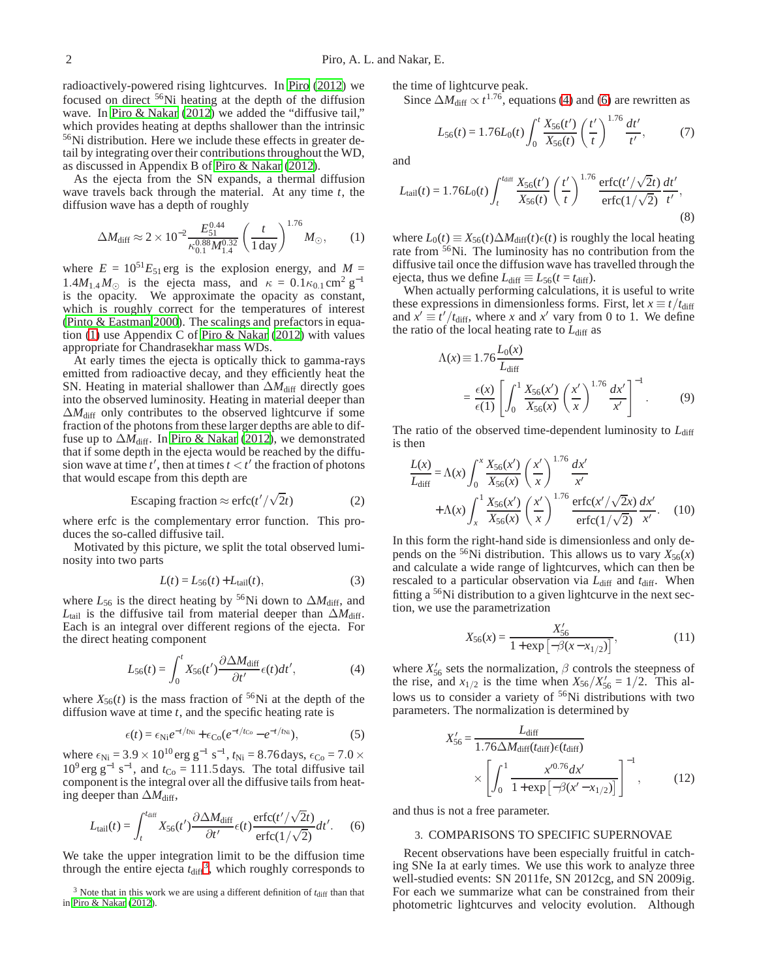radioactively-powered rising lightcurves. In [Piro](#page-8-10) [\(2012\)](#page-8-10) we focused on direct <sup>56</sup>Ni heating at the depth of the diffusion wave. In [Piro & Nakar \(2012\)](#page-8-11) we added the "diffusive tail," which provides heating at depths shallower than the intrinsic <sup>56</sup>Ni distribution. Here we include these effects in greater detail by integrating over their contributions throughout the WD, as discussed in Appendix B of [Piro & Nakar](#page-8-11) [\(2012\)](#page-8-11).

As the ejecta from the SN expands, a thermal diffusion wave travels back through the material. At any time *t*, the diffusion wave has a depth of roughly

<span id="page-1-1"></span>
$$
\Delta M_{\rm diff} \approx 2 \times 10^{-2} \frac{E_{51}^{0.44}}{\kappa_{0.1}^{0.88} M_{1.4}^{0.32}} \left(\frac{t}{1 \,\mathrm{day}}\right)^{1.76} M_{\odot},\qquad(1)
$$

where  $E = 10^{51}E_{51}$  erg is the explosion energy, and  $M =$  $1.4M_{1.4}M_{\odot}$  is the ejecta mass, and  $\kappa = 0.1\kappa_{0.1} \text{ cm}^2 \text{ g}^{-1}$ is the opacity. We approximate the opacity as constant, which is roughly correct for the temperatures of interest [\(Pinto & Eastman 2000](#page-8-16)). The scalings and prefactors in equation [\(1\)](#page-1-1) use Appendix C of [Piro & Nakar \(2012](#page-8-11)) with values appropriate for Chandrasekhar mass WDs.

At early times the ejecta is optically thick to gamma-rays emitted from radioactive decay, and they efficiently heat the SN. Heating in material shallower than  $\Delta M_{\text{diff}}$  directly goes into the observed luminosity. Heating in material deeper than  $\Delta M_{\text{diff}}$  only contributes to the observed lightcurve if some fraction of the photons from these larger depths are able to diffuse up to  $\Delta M_{\text{diff}}$ . In [Piro & Nakar \(2012\)](#page-8-11), we demonstrated that if some depth in the ejecta would be reached by the diffusion wave at time  $t'$ , then at times  $t < t'$  the fraction of photons that would escape from this depth are

$$
Escaping fraction \approx \text{erfc}(t'/\sqrt{2}t) \tag{2}
$$

where erfc is the complementary error function. This produces the so-called diffusive tail.

Motivated by this picture, we split the total observed luminosity into two parts

$$
L(t) = L_{56}(t) + L_{tail}(t),
$$
\n(3)

where  $L_{56}$  is the direct heating by <sup>56</sup>Ni down to  $\Delta M_{\text{diff}}$ , and  $L_{tail}$  is the diffusive tail from material deeper than  $\Delta M_{diff}$ . Each is an integral over different regions of the ejecta. For the direct heating component

<span id="page-1-3"></span>
$$
L_{56}(t) = \int_0^t X_{56}(t') \frac{\partial \Delta M_{\text{diff}}}{\partial t'} \epsilon(t) dt', \tag{4}
$$

where  $X_{56}(t)$  is the mass fraction of <sup>56</sup>Ni at the depth of the diffusion wave at time *t*, and the specific heating rate is

$$
\epsilon(t) = \epsilon_{\text{Ni}} e^{-t/\tau_{\text{Ni}}} + \epsilon_{\text{Co}} (e^{-t/\tau_{\text{Co}}} - e^{-t/\tau_{\text{Ni}}}), \tag{5}
$$

where  $\epsilon_{\text{Ni}} = 3.9 \times 10^{10} \text{erg g}^{-1} \text{ s}^{-1}$ ,  $t_{\text{Ni}} = 8.76 \text{ days}$ ,  $\epsilon_{\text{Co}} = 7.0 \times 10^{10} \text{ erg g}^{-1}$  $10^9$  erg g<sup>-1</sup> s<sup>-1</sup>, and  $t_{\text{Co}} = 111.5$  days. The total diffusive tail component is the integral over all the diffusive tails from heating deeper than  $\Delta M_{\text{diff}}$ ,

<span id="page-1-4"></span>
$$
L_{\text{tail}}(t) = \int_{t}^{t_{\text{diff}}} X_{56}(t') \frac{\partial \Delta M_{\text{diff}}}{\partial t'} \epsilon(t) \frac{\text{erfc}(t'/\sqrt{2}t)}{\text{erfc}(1/\sqrt{2})} dt'. \tag{6}
$$

We take the upper integration limit to be the diffusion time through the entire ejecta  $t_{\text{diff}}^3$  $t_{\text{diff}}^3$ , which roughly corresponds to the time of lightcurve peak.

Since  $\Delta M_{\text{diff}} \propto t^{1.76}$ , equations [\(4\)](#page-1-3) and [\(6\)](#page-1-4) are rewritten as

$$
L_{56}(t) = 1.76L_0(t) \int_0^t \frac{X_{56}(t')}{X_{56}(t)} \left(\frac{t'}{t}\right)^{1.76} \frac{dt'}{t'},\tag{7}
$$

and

$$
L_{\text{tail}}(t) = 1.76L_0(t) \int_t^{t_{\text{diff}}} \frac{X_{56}(t')}{X_{56}(t)} \left(\frac{t'}{t}\right)^{1.76} \frac{\text{erfc}(t'/\sqrt{2}t)}{\text{erfc}(1/\sqrt{2})} \frac{dt'}{t'},\tag{8}
$$

where  $L_0(t) \equiv X_{56}(t) \Delta M_{\text{diff}}(t) \epsilon(t)$  is roughly the local heating rate from <sup>56</sup>Ni. The luminosity has no contribution from the diffusive tail once the diffusion wave has travelled through the ejecta, thus we define  $L_{\text{diff}} \equiv L_{56}(t = t_{\text{diff}})$ .

When actually performing calculations, it is useful to write these expressions in dimensionless forms. First, let  $x \equiv t/t_{\text{diff}}$ and  $x' \equiv t'/t_{\text{diff}}$ , where *x* and  $x'$  vary from 0 to 1. We define the ratio of the local heating rate to  $L_{\text{diff}}$  as

$$
\Lambda(x) \equiv 1.76 \frac{L_0(x)}{L_{\text{diff}}}
$$
  
=  $\frac{\epsilon(x)}{\epsilon(1)} \left[ \int_0^1 \frac{X_{56}(x')}{X_{56}(x)} \left( \frac{x'}{x} \right)^{1.76} \frac{dx'}{x'} \right]^{-1}$ . (9)

The ratio of the observed time-dependent luminosity to  $L_{diff}$ is then

<span id="page-1-5"></span>
$$
\frac{L(x)}{L_{\text{diff}}} = \Lambda(x) \int_0^x \frac{X_{56}(x')}{X_{56}(x)} \left(\frac{x'}{x}\right)^{1.76} \frac{dx'}{x'}
$$
  
+  $\Lambda(x) \int_x^1 \frac{X_{56}(x')}{X_{56}(x)} \left(\frac{x'}{x}\right)^{1.76} \frac{\text{erfc}(x'/\sqrt{2}x)}{\text{erfc}(1/\sqrt{2})} \frac{dx'}{x'}$ . (10)

In this form the right-hand side is dimensionless and only depends on the <sup>56</sup>Ni distribution. This allows us to vary  $X_{56}(x)$ and calculate a wide range of lightcurves, which can then be rescaled to a particular observation via  $L_{diff}$  and  $t_{diff}$ . When fitting a  $56$ Ni distribution to a given lightcurve in the next section, we use the parametrization

<span id="page-1-6"></span>
$$
X_{56}(x) = \frac{X'_{56}}{1 + \exp\left[-\beta(x - x_{1/2})\right]},\tag{11}
$$

where  $X'_{56}$  sets the normalization,  $\beta$  controls the steepness of the rise, and  $x_{1/2}$  is the time when  $X_{56}/X'_{56} = 1/2$ . This allows us to consider a variety of <sup>56</sup>Ni distributions with two parameters. The normalization is determined by

$$
X'_{56} = \frac{L_{\text{diff}}}{1.76 \Delta M_{\text{diff}}(t_{\text{diff}}) \epsilon(t_{\text{diff}})} \times \left[ \int_0^1 \frac{x'^{0.76} dx'}{1 + \exp\left[ -\beta (x' - x_{1/2}) \right]} \right]^{-1}, \quad (12)
$$

<span id="page-1-0"></span>and thus is not a free parameter.

#### 3. COMPARISONS TO SPECIFIC SUPERNOVAE

Recent observations have been especially fruitful in catching SNe Ia at early times. We use this work to analyze three well-studied events: SN 2011fe, SN 2012cg, and SN 2009ig. For each we summarize what can be constrained from their photometric lightcurves and velocity evolution. Although

<span id="page-1-2"></span> $3$  Note that in this work we are using a different definition of  $t_{\text{diff}}$  than that in [Piro & Nakar](#page-8-11) [\(2012](#page-8-11)).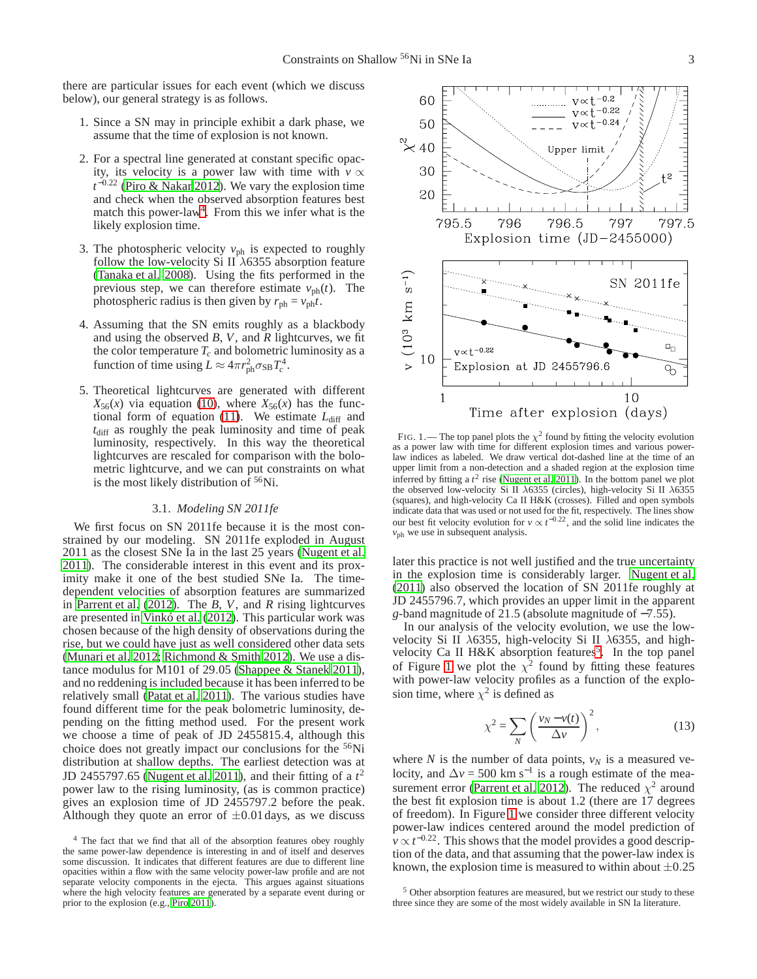there are particular issues for each event (which we discuss below), our general strategy is as follows.

- 1. Since a SN may in principle exhibit a dark phase, we assume that the time of explosion is not known.
- 2. For a spectral line generated at constant specific opacity, its velocity is a power law with time with  $v \propto$ *t* <sup>−</sup>0.<sup>22</sup> [\(Piro & Nakar 2012\)](#page-8-11). We vary the explosion time and check when the observed absorption features best match this power-law<sup>[4](#page-2-0)</sup>. From this we infer what is the likely explosion time.
- 3. The photospheric velocity  $v_{ph}$  is expected to roughly follow the low-velocity Si II  $\lambda$ 6355 absorption feature [\(Tanaka et al. 2008](#page-8-17)). Using the fits performed in the previous step, we can therefore estimate  $v_{ph}(t)$ . The photospheric radius is then given by  $r_{ph} = v_{ph}t$ .
- 4. Assuming that the SN emits roughly as a blackbody and using the observed *B*, *V*, and *R* lightcurves, we fit the color temperature  $T_c$  and bolometric luminosity as a function of time using  $L \approx 4\pi r_{\rm ph}^2 \sigma_{\rm SB} T_c^4$ .
- 5. Theoretical lightcurves are generated with different  $X_{56}(x)$  via equation [\(10\)](#page-1-5), where  $X_{56}(x)$  has the func-tional form of equation [\(11\)](#page-1-6). We estimate  $L_{diff}$  and  $t_{\text{diff}}$  as roughly the peak luminosity and time of peak luminosity, respectively. In this way the theoretical lightcurves are rescaled for comparison with the bolometric lightcurve, and we can put constraints on what is the most likely distribution of <sup>56</sup>Ni.

## 3.1. *Modeling SN 2011fe*

We first focus on SN 2011fe because it is the most constrained by our modeling. SN 2011fe exploded in August 2011 as the closest SNe Ia in the last 25 years [\(Nugent et al.](#page-8-18) [2011\)](#page-8-18). The considerable interest in this event and its proximity make it one of the best studied SNe Ia. The timedependent velocities of absorption features are summarized in [Parrent et al.](#page-8-19) [\(2012\)](#page-8-19). The *B*, *V*, and *R* rising lightcurves are presented in [Vinkó et al.](#page-8-20) [\(2012\)](#page-8-20). This particular work was chosen because of the high density of observations during the rise, but we could have just as well considered other data sets [\(Munari et al. 2012;](#page-8-21) [Richmond & Smith 2012\)](#page-8-22). We use a distance modulus for M101 of 29.05 [\(Shappee & Stanek 2011\)](#page-8-23), and no reddening is included because it has been inferred to be relatively small [\(Patat et al. 2011\)](#page-8-24). The various studies have found different time for the peak bolometric luminosity, depending on the fitting method used. For the present work we choose a time of peak of JD 2455815.4, although this choice does not greatly impact our conclusions for the <sup>56</sup>Ni distribution at shallow depths. The earliest detection was at JD 2455797.65 [\(Nugent et al. 2011\)](#page-8-18), and their fitting of a  $t^2$ power law to the rising luminosity, (as is common practice) gives an explosion time of JD 2455797.2 before the peak. Although they quote an error of  $\pm 0.01$  days, as we discuss



<span id="page-2-2"></span>FIG. 1.— The top panel plots the  $\chi^2$  found by fitting the velocity evolution as a power law with time for different explosion times and various powerlaw indices as labeled. We draw vertical dot-dashed line at the time of an upper limit from a non-detection and a shaded region at the explosion time inferred by fitting a  $t^2$  rise [\(Nugent et al. 2011](#page-8-18)). In the bottom panel we plot the observed low-velocity Si II  $\lambda$ 6355 (circles), high-velocity Si II  $\lambda$ 6355 (squares), and high-velocity Ca II H&K (crosses). Filled and open symbols indicate data that was used or not used for the fit, respectively. The lines show our best fit velocity evolution for  $v \propto t^{-0.22}$ , and the solid line indicates the *v*<sub>ph</sub> we use in subsequent analysis.

later this practice is not well justified and the true uncertainty in the explosion time is considerably larger. [Nugent et al.](#page-8-18) [\(2011\)](#page-8-18) also observed the location of SN 2011fe roughly at JD 2455796.7, which provides an upper limit in the apparent *g*-band magnitude of 21.5 (absolute magnitude of −7.55).

In our analysis of the velocity evolution, we use the lowvelocity Si II  $\lambda$ 6355, high-velocity Si II  $\lambda$ 6355, and high-velocity Ca II H&K absorption features<sup>[5](#page-2-1)</sup>. In the top panel of Figure [1](#page-2-2) we plot the  $\chi^2$  found by fitting these features with power-law velocity profiles as a function of the explosion time, where  $\chi^2$  is defined as

$$
\chi^2 = \sum_N \left(\frac{v_N - v(t)}{\Delta v}\right)^2,\tag{13}
$$

where *N* is the number of data points,  $v_N$  is a measured velocity, and  $\Delta v = 500$  km s<sup>-1</sup> is a rough estimate of the mea-surement error [\(Parrent et al. 2012\)](#page-8-19). The reduced  $\chi^2$  around the best fit explosion time is about 1.2 (there are 17 degrees of freedom). In Figure [1](#page-2-2) we consider three different velocity power-law indices centered around the model prediction of  $v \propto t^{-0.22}$ . This shows that the model provides a good description of the data, and that assuming that the power-law index is known, the explosion time is measured to within about  $\pm 0.25$ 

<span id="page-2-0"></span><sup>4</sup> The fact that we find that all of the absorption features obey roughly the same power-law dependence is interesting in and of itself and deserves some discussion. It indicates that different features are due to different line opacities within a flow with the same velocity power-law profile and are not separate velocity components in the ejecta. This argues against situations where the high velocity features are generated by a separate event during or prior to the explosion (e.g., [Piro 2011](#page-8-25)).

<span id="page-2-1"></span><sup>5</sup> Other absorption features are measured, but we restrict our study to these three since they are some of the most widely available in SN Ia literature.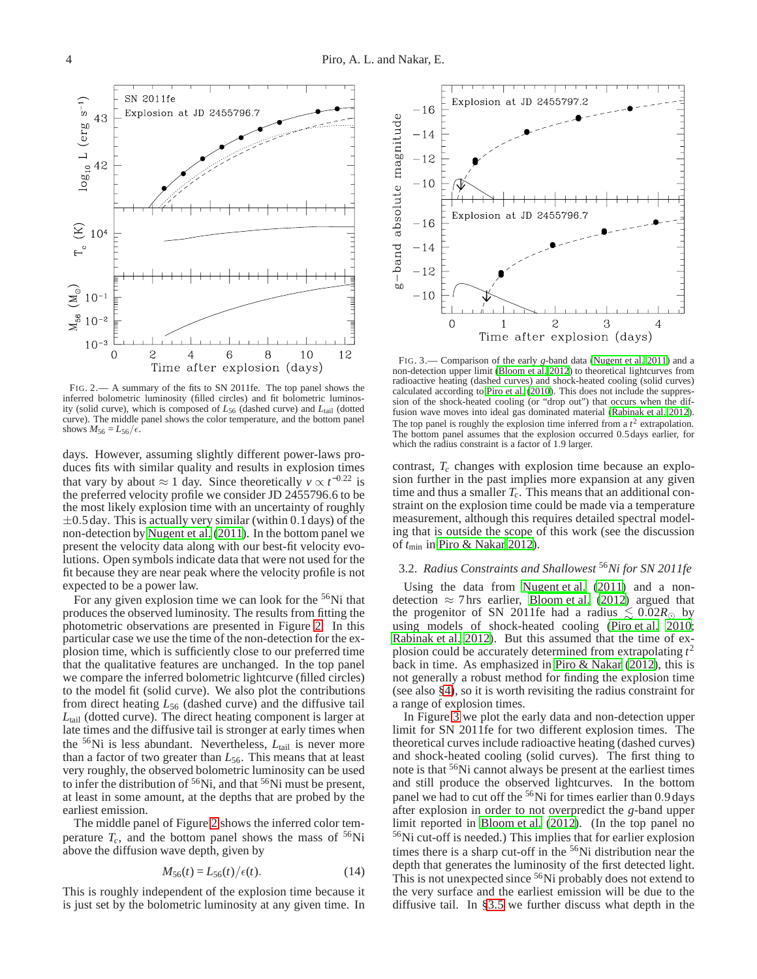

<span id="page-3-0"></span>FIG. 2.— A summary of the fits to SN 2011fe. The top panel shows the inferred bolometric luminosity (filled circles) and fit bolometric luminosity (solid curve), which is composed of *L*<sup>56</sup> (dashed curve) and *L*tail (dotted curve). The middle panel shows the color temperature, and the bottom panel shows  $M_{56} = L_{56}/\epsilon$ .

days. However, assuming slightly different power-laws produces fits with similar quality and results in explosion times that vary by about ≈ 1 day. Since theoretically  $v \propto t^{-0.22}$  is the preferred velocity profile we consider JD 2455796.6 to be the most likely explosion time with an uncertainty of roughly  $\pm 0.5$  day. This is actually very similar (within 0.1 days) of the non-detection by [Nugent et al. \(2011](#page-8-18)). In the bottom panel we present the velocity data along with our best-fit velocity evolutions. Open symbols indicate data that were not used for the fit because they are near peak where the velocity profile is not expected to be a power law.

For any given explosion time we can look for the  $56Ni$  that produces the observed luminosity. The results from fitting the photometric observations are presented in Figure [2.](#page-3-0) In this particular case we use the time of the non-detection for the explosion time, which is sufficiently close to our preferred time that the qualitative features are unchanged. In the top panel we compare the inferred bolometric lightcurve (filled circles) to the model fit (solid curve). We also plot the contributions from direct heating *L*<sup>56</sup> (dashed curve) and the diffusive tail *L*tail (dotted curve). The direct heating component is larger at late times and the diffusive tail is stronger at early times when the <sup>56</sup>Ni is less abundant. Nevertheless, *L*<sub>tail</sub> is never more than a factor of two greater than  $L_{56}$ . This means that at least very roughly, the observed bolometric luminosity can be used to infer the distribution of  $56Ni$ , and that  $56Ni$  must be present, at least in some amount, at the depths that are probed by the earliest emission.

The middle panel of Figure [2](#page-3-0) shows the inferred color temperature  $T_c$ , and the bottom panel shows the mass of  $56Ni$ above the diffusion wave depth, given by

$$
M_{56}(t) = L_{56}(t) / \epsilon(t). \tag{14}
$$

This is roughly independent of the explosion time because it is just set by the bolometric luminosity at any given time. In



<span id="page-3-1"></span>FIG. 3.— Comparison of the early *g*-band data [\(Nugent et al. 2011](#page-8-18)) and a non-detection upper limit [\(Bloom et al. 2012](#page-7-6)) to theoretical lightcurves from radioactive heating (dashed curves) and shock-heated cooling (solid curves) calculated according to [Piro et al. \(2010](#page-8-12)). This does not include the suppression of the shock-heated cooling (or "drop out") that occurs when the diffusion wave moves into ideal gas dominated material [\(Rabinak et al. 2012](#page-8-15)). The top panel is roughly the explosion time inferred from a  $t^2$  extrapolation. The bottom panel assumes that the explosion occurred 0.5days earlier, for which the radius constraint is a factor of 1.9 larger.

contrast, *T<sup>c</sup>* changes with explosion time because an explosion further in the past implies more expansion at any given time and thus a smaller *Tc*. This means that an additional constraint on the explosion time could be made via a temperature measurement, although this requires detailed spectral modeling that is outside the scope of this work (see the discussion of *t*min in [Piro & Nakar 2012](#page-8-11)).

# <span id="page-3-2"></span>3.2. *Radius Constraints and Shallowest* <sup>56</sup>*Ni for SN 2011fe*

Using the data from [Nugent et al. \(2011\)](#page-8-18) and a nondetection  $\approx$  7 hrs earlier, [Bloom et al. \(2012\)](#page-7-6) argued that the progenitor of SN 2011fe had a radius  $\leq 0.02R_{\odot}$  by using models of shock-heated cooling [\(Piro et al. 2010](#page-8-12); [Rabinak et al. 2012](#page-8-15)). But this assumed that the time of explosion could be accurately determined from extrapolating *t* 2 back in time. As emphasized in [Piro & Nakar \(2012](#page-8-11)), this is not generally a robust method for finding the explosion time (see also [§4\)](#page-6-0), so it is worth revisiting the radius constraint for a range of explosion times.

In Figure [3](#page-3-1) we plot the early data and non-detection upper limit for SN 2011fe for two different explosion times. The theoretical curves include radioactive heating (dashed curves) and shock-heated cooling (solid curves). The first thing to note is that <sup>56</sup>Ni cannot always be present at the earliest times and still produce the observed lightcurves. In the bottom panel we had to cut off the <sup>56</sup>Ni for times earlier than 0.9 days after explosion in order to not overpredict the *g*-band upper limit reported in [Bloom et al. \(2012](#page-7-6)). (In the top panel no <sup>56</sup>Ni cut-off is needed.) This implies that for earlier explosion times there is a sharp cut-off in the <sup>56</sup>Ni distribution near the depth that generates the luminosity of the first detected light. This is not unexpected since <sup>56</sup>Ni probably does not extend to the very surface and the earliest emission will be due to the diffusive tail. In [§3.5](#page-4-0) we further discuss what depth in the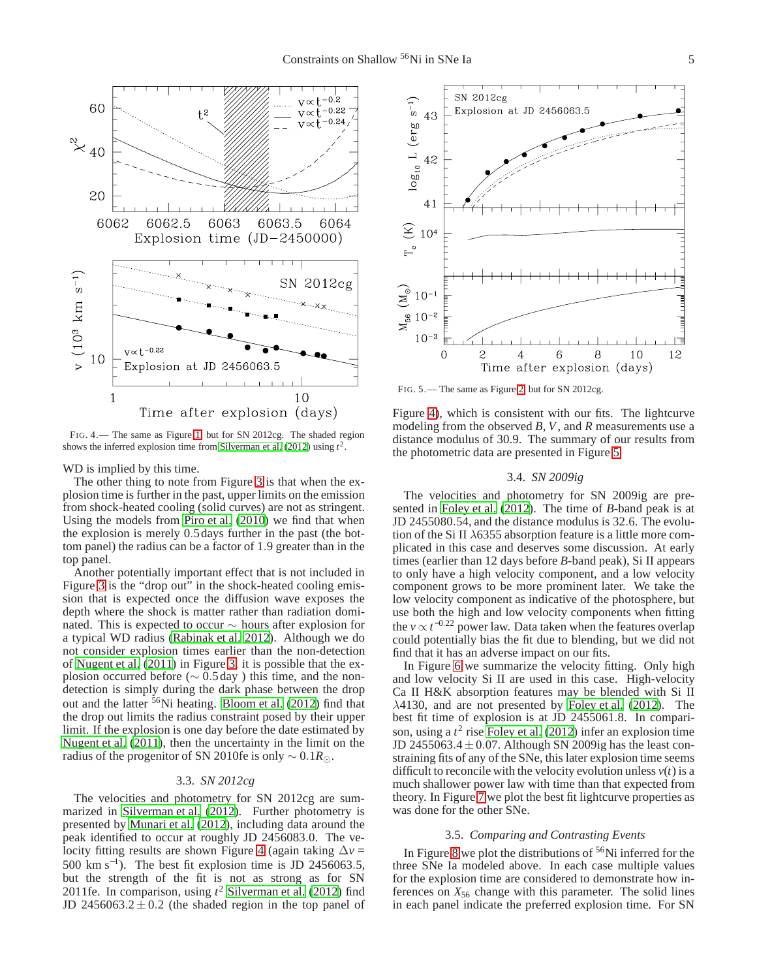

<span id="page-4-1"></span>FIG. 4.— The same as Figure [1,](#page-2-2) but for SN 2012cg. The shaded region shows the inferred explosion time from Silverman et al.  $(2012)$  using  $t^2$ .

WD is implied by this time.

The other thing to note from Figure [3](#page-3-1) is that when the explosion time is further in the past, upper limits on the emission from shock-heated cooling (solid curves) are not as stringent. Using the models from [Piro et al. \(2010](#page-8-12)) we find that when the explosion is merely 0.5days further in the past (the bottom panel) the radius can be a factor of 1.9 greater than in the top panel.

Another potentially important effect that is not included in Figure [3](#page-3-1) is the "drop out" in the shock-heated cooling emission that is expected once the diffusion wave exposes the depth where the shock is matter rather than radiation dominated. This is expected to occur  $\sim$  hours after explosion for a typical WD radius [\(Rabinak et al. 2012](#page-8-15)). Although we do not consider explosion times earlier than the non-detection of [Nugent et al.](#page-8-18) [\(2011\)](#page-8-18) in Figure [3,](#page-3-1) it is possible that the explosion occurred before ( $\sim$  0.5 day) this time, and the nondetection is simply during the dark phase between the drop out and the latter <sup>56</sup>Ni heating. [Bloom et al. \(2012](#page-7-6)) find that the drop out limits the radius constraint posed by their upper limit. If the explosion is one day before the date estimated by [Nugent et al. \(2011\)](#page-8-18), then the uncertainty in the limit on the radius of the progenitor of SN 2010fe is only ∼ 0.1*R*⊙.

## 3.3. *SN 2012cg*

The velocities and photometry for SN 2012cg are summarized in [Silverman et al.](#page-8-26) [\(2012\)](#page-8-26). Further photometry is presented by [Munari et al.](#page-8-21) [\(2012\)](#page-8-21), including data around the peak identified to occur at roughly JD 2456083.0. The velocity fitting results are shown Figure [4](#page-4-1) (again taking ∆*v* = 500 km s<sup>-1</sup>). The best fit explosion time is JD 2456063.5, but the strength of the fit is not as strong as for SN 2011fe. In comparison, using *t* <sup>2</sup> [Silverman et al. \(2012](#page-8-26)) find JD 2456063.2 $\pm$ 0.2 (the shaded region in the top panel of



<span id="page-4-2"></span>FIG. 5.— The same as Figure [2,](#page-3-0) but for SN 2012cg.

Figure [4\)](#page-4-1), which is consistent with our fits. The lightcurve modeling from the observed *B*, *V*, and *R* measurements use a distance modulus of 30.9. The summary of our results from the photometric data are presented in Figure [5.](#page-4-2)

## 3.4. *SN 2009ig*

The velocities and photometry for SN 2009ig are presented in [Foley et al. \(2012](#page-7-7)). The time of *B*-band peak is at JD 2455080.54, and the distance modulus is 32.6. The evolution of the Si II  $\lambda$ 6355 absorption feature is a little more complicated in this case and deserves some discussion. At early times (earlier than 12 days before *B*-band peak), Si II appears to only have a high velocity component, and a low velocity component grows to be more prominent later. We take the low velocity component as indicative of the photosphere, but use both the high and low velocity components when fitting the  $v \propto t^{-0.22}$  power law. Data taken when the features overlap could potentially bias the fit due to blending, but we did not find that it has an adverse impact on our fits.

In Figure [6](#page-5-0) we summarize the velocity fitting. Only high and low velocity Si II are used in this case. High-velocity Ca II H&K absorption features may be blended with Si II λ4130, and are not presented by [Foley et al. \(2012\)](#page-7-7). The best fit time of explosion is at JD 2455061.8. In comparison, using a  $t^2$  rise [Foley et al. \(2012](#page-7-7)) infer an explosion time JD 2455063.4 $\pm$ 0.07. Although SN 2009ig has the least constraining fits of any of the SNe, this later explosion time seems difficult to reconcile with the velocity evolution unless  $v(t)$  is a much shallower power law with time than that expected from theory. In Figure [7](#page-5-1) we plot the best fit lightcurve properties as was done for the other SNe.

#### 3.5. *Comparing and Contrasting Events*

<span id="page-4-0"></span>In Figure [8](#page-6-1) we plot the distributions of  $56$ Ni inferred for the three SNe Ia modeled above. In each case multiple values for the explosion time are considered to demonstrate how inferences on  $X_{56}$  change with this parameter. The solid lines in each panel indicate the preferred explosion time. For SN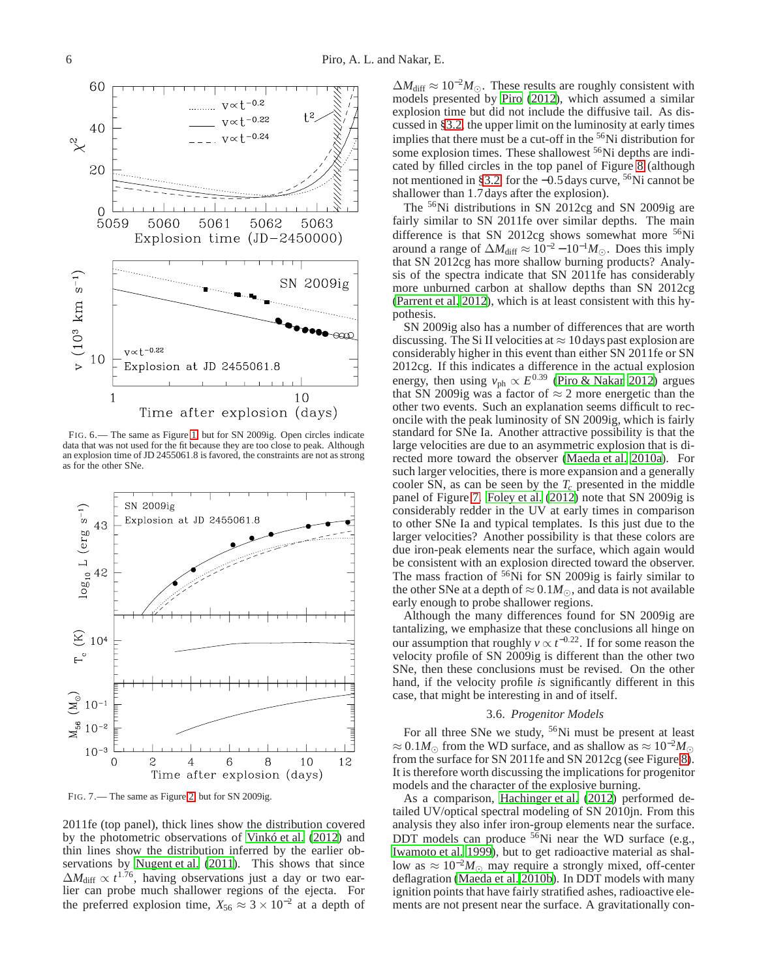

<span id="page-5-0"></span>FIG. 6.— The same as Figure [1,](#page-2-2) but for SN 2009ig. Open circles indicate data that was not used for the fit because they are too close to peak. Although an explosion time of JD 2455061.8 is favored, the constraints are not as strong as for the other SNe.



<span id="page-5-1"></span>FIG. 7.— The same as Figure [2,](#page-3-0) but for SN 2009ig.

2011fe (top panel), thick lines show the distribution covered by the photometric observations of [Vinkó et al. \(2012\)](#page-8-20) and thin lines show the distribution inferred by the earlier ob-servations by [Nugent et al. \(2011\)](#page-8-18). This shows that since  $\Delta M_{\text{diff}} \propto t^{1.76}$ , having observations just a day or two earlier can probe much shallower regions of the ejecta. For the preferred explosion time,  $X_{56} \approx 3 \times 10^{-2}$  at a depth of

 $\Delta M_{\text{diff}} \approx 10^{-2} M_{\odot}$ . These results are roughly consistent with models presented by [Piro](#page-8-10) [\(2012\)](#page-8-10), which assumed a similar explosion time but did not include the diffusive tail. As discussed in [§3.2,](#page-3-2) the upper limit on the luminosity at early times implies that there must be a cut-off in the <sup>56</sup>Ni distribution for some explosion times. These shallowest <sup>56</sup>Ni depths are indicated by filled circles in the top panel of Figure [8](#page-6-1) (although not mentioned in [§3.2,](#page-3-2) for the −0.5days curve, <sup>56</sup>Ni cannot be shallower than 1.7 days after the explosion).

The <sup>56</sup>Ni distributions in SN 2012cg and SN 2009ig are fairly similar to SN 2011fe over similar depths. The main difference is that SN 2012cg shows somewhat more  $56Ni$ around a range of  $\Delta M_{\text{diff}} \approx 10^{-2} - 10^{-1} M_{\odot}$ . Does this imply that SN 2012cg has more shallow burning products? Analysis of the spectra indicate that SN 2011fe has considerably more unburned carbon at shallow depths than SN 2012cg [\(Parrent et al. 2012\)](#page-8-19), which is at least consistent with this hypothesis.

SN 2009ig also has a number of differences that are worth discussing. The Si II velocities at  $\approx 10$  days past explosion are considerably higher in this event than either SN 2011fe or SN 2012cg. If this indicates a difference in the actual explosion energy, then using  $v_{\text{ph}} \propto E^{0.39}$  [\(Piro & Nakar 2012\)](#page-8-11) argues that SN 2009ig was a factor of  $\approx$  2 more energetic than the other two events. Such an explanation seems difficult to reconcile with the peak luminosity of SN 2009ig, which is fairly standard for SNe Ia. Another attractive possibility is that the large velocities are due to an asymmetric explosion that is directed more toward the observer [\(Maeda et al. 2010a\)](#page-8-27). For such larger velocities, there is more expansion and a generally cooler SN, as can be seen by the *T<sup>c</sup>* presented in the middle panel of Figure [7.](#page-5-1) [Foley et al.](#page-7-7) [\(2012\)](#page-7-7) note that SN 2009ig is considerably redder in the UV at early times in comparison to other SNe Ia and typical templates. Is this just due to the larger velocities? Another possibility is that these colors are due iron-peak elements near the surface, which again would be consistent with an explosion directed toward the observer. The mass fraction of  $56$ Ni for SN 2009ig is fairly similar to the other SNe at a depth of  $\approx 0.1 M_{\odot}$ , and data is not available early enough to probe shallower regions.

Although the many differences found for SN 2009ig are tantalizing, we emphasize that these conclusions all hinge on our assumption that roughly  $v \propto t^{-0.22}$ . If for some reason the velocity profile of SN 2009ig is different than the other two SNe, then these conclusions must be revised. On the other hand, if the velocity profile *is* significantly different in this case, that might be interesting in and of itself.

## 3.6. *Progenitor Models*

For all three SNe we study, <sup>56</sup>Ni must be present at least  $\approx 0.1 M_{\odot}$  from the WD surface, and as shallow as  $\approx 10^{-2} M_{\odot}$ from the surface for SN 2011fe and SN 2012cg (see Figure [8\)](#page-6-1). It is therefore worth discussing the implications for progenitor models and the character of the explosive burning.

As a comparison, [Hachinger et al.](#page-7-4) [\(2012\)](#page-7-4) performed detailed UV/optical spectral modeling of SN 2010jn. From this analysis they also infer iron-group elements near the surface. DDT models can produce  $56$ Ni near the WD surface (e.g., [Iwamoto et al. 1999\)](#page-7-0), but to get radioactive material as shallow as  $\approx 10^{-2} M_{\odot}$  may require a strongly mixed, off-center deflagration [\(Maeda et al. 2010b\)](#page-8-28). In DDT models with many ignition points that have fairly stratified ashes, radioactive elements are not present near the surface. A gravitationally con-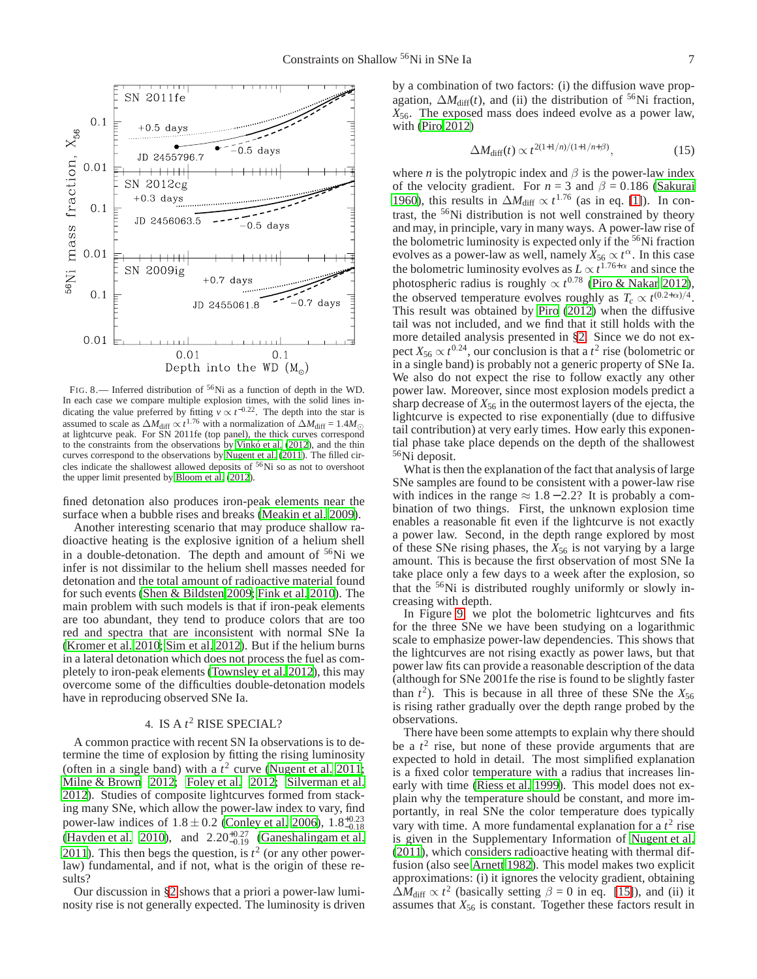

<span id="page-6-1"></span>FIG. 8.— Inferred distribution of <sup>56</sup>Ni as a function of depth in the WD. In each case we compare multiple explosion times, with the solid lines indicating the value preferred by fitting  $v \propto t^{-0.22}$ . The depth into the star is assumed to scale as  $\Delta M_{\text{diff}} \propto t^{1.76}$  with a normalization of  $\Delta M_{\text{diff}} = 1.4 M_{\odot}$  at lightcurve peak. For SN 2011fe (top panel), the thick curves correspond to the constraints from the observations by [Vinkó et al. \(2012](#page-8-20)), and the thin curves correspond to the observations by [Nugent et al. \(2011](#page-8-18)). The filled circles indicate the shallowest allowed deposits of <sup>56</sup>Ni so as not to overshoot the upper limit presented by [Bloom et al. \(2012\)](#page-7-6).

fined detonation also produces iron-peak elements near the surface when a bubble rises and breaks [\(Meakin et al. 2009\)](#page-8-29).

Another interesting scenario that may produce shallow radioactive heating is the explosive ignition of a helium shell in a double-detonation. The depth and amount of <sup>56</sup>Ni we infer is not dissimilar to the helium shell masses needed for detonation and the total amount of radioactive material found for such events [\(Shen & Bildsten 2009;](#page-8-30) [Fink et al. 2010\)](#page-7-8). The main problem with such models is that if iron-peak elements are too abundant, they tend to produce colors that are too red and spectra that are inconsistent with normal SNe Ia [\(Kromer et al. 2010](#page-8-31); [Sim et al. 2012\)](#page-8-32). But if the helium burns in a lateral detonation which does not process the fuel as completely to iron-peak elements [\(Townsley et al. 2012\)](#page-8-33), this may overcome some of the difficulties double-detonation models have in reproducing observed SNe Ia.

## 4. IS A  $t^2$  RISE SPECIAL?

<span id="page-6-0"></span>A common practice with recent SN Ia observations is to determine the time of explosion by fitting the rising luminosity (often in a single band) with a  $t^2$  curve [\(Nugent et al. 2011;](#page-8-18) [Milne & Brown 2012](#page-8-34); [Foley et al. 2012;](#page-7-7) [Silverman et al.](#page-8-26) [2012\)](#page-8-26). Studies of composite lightcurves formed from stacking many SNe, which allow the power-law index to vary, find power-law indices of  $1.8 \pm 0.2$  [\(Conley et al. 2006\)](#page-7-9),  $1.8^{+0.23}_{-0.18}$ <br>[\(Hayden et al. 2010](#page-7-10)), and  $2.20^{+0.27}_{-0.19}$  [\(Ganeshalingam et al.](#page-7-11) [2011\)](#page-7-11). This then begs the question, is  $t^2$  (or any other powerlaw) fundamental, and if not, what is the origin of these results?

Our discussion in [§2](#page-0-0) shows that a priori a power-law luminosity rise is not generally expected. The luminosity is driven by a combination of two factors: (i) the diffusion wave propagation,  $\Delta M_{\text{diff}}(t)$ , and (ii) the distribution of <sup>56</sup>Ni fraction, *X*56. The exposed mass does indeed evolve as a power law, with [\(Piro 2012](#page-8-10))

<span id="page-6-2"></span>
$$
\Delta M_{\text{diff}}(t) \propto t^{2(1+1/n)/(1+1/n+\beta)},\tag{15}
$$

where *n* is the polytropic index and  $\beta$  is the power-law index of the velocity gradient. For  $n = 3$  and  $\beta = 0.186$  [\(Sakurai](#page-8-35) [1960\)](#page-8-35), this results in  $\Delta M_{\text{diff}} \propto t^{1.76}$  (as in eq. [\[1\]](#page-1-1)). In contrast, the <sup>56</sup>Ni distribution is not well constrained by theory and may, in principle, vary in many ways. A power-law rise of the bolometric luminosity is expected only if the  $56$ Ni fraction evolves as a power-law as well, namely  $\bar{X}_{56} \propto t^{\alpha}$ . In this case the bolometric luminosity evolves as  $L \propto t^{1.76+\alpha}$  and since the photospheric radius is roughly  $\propto t^{0.78}$  [\(Piro & Nakar 2012](#page-8-11)), the observed temperature evolves roughly as  $T_c \propto t^{(0.2+\alpha)/4}$ . This result was obtained by [Piro \(2012](#page-8-10)) when the diffusive tail was not included, and we find that it still holds with the more detailed analysis presented in [§2.](#page-0-0) Since we do not expect  $X_{56} \propto t^{0.24}$ , our conclusion is that a  $t^2$  rise (bolometric or in a single band) is probably not a generic property of SNe Ia. We also do not expect the rise to follow exactly any other power law. Moreover, since most explosion models predict a sharp decrease of  $X_{56}$  in the outermost layers of the ejecta, the lightcurve is expected to rise exponentially (due to diffusive tail contribution) at very early times. How early this exponential phase take place depends on the depth of the shallowest <sup>56</sup>Ni deposit.

What is then the explanation of the fact that analysis of large SNe samples are found to be consistent with a power-law rise with indices in the range  $\approx 1.8 - 2.2$ ? It is probably a combination of two things. First, the unknown explosion time enables a reasonable fit even if the lightcurve is not exactly a power law. Second, in the depth range explored by most of these SNe rising phases, the *X*<sup>56</sup> is not varying by a large amount. This is because the first observation of most SNe Ia take place only a few days to a week after the explosion, so that the <sup>56</sup>Ni is distributed roughly uniformly or slowly increasing with depth.

In Figure [9,](#page-7-12) we plot the bolometric lightcurves and fits for the three SNe we have been studying on a logarithmic scale to emphasize power-law dependencies. This shows that the lightcurves are not rising exactly as power laws, but that power law fits can provide a reasonable description of the data (although for SNe 2001fe the rise is found to be slightly faster than  $t^2$ ). This is because in all three of these SNe the  $X_{56}$ is rising rather gradually over the depth range probed by the observations.

There have been some attempts to explain why there should be a  $t<sup>2</sup>$  rise, but none of these provide arguments that are expected to hold in detail. The most simplified explanation is a fixed color temperature with a radius that increases linearly with time [\(Riess et al. 1999\)](#page-8-36). This model does not explain why the temperature should be constant, and more importantly, in real SNe the color temperature does typically vary with time. A more fundamental explanation for a  $t^2$  rise is given in the Supplementary Information of [Nugent et al.](#page-8-18) [\(2011\)](#page-8-18), which considers radioactive heating with thermal diffusion (also see [Arnett 1982](#page-7-13)). This model makes two explicit approximations: (i) it ignores the velocity gradient, obtaining  $\Delta M_{\text{diff}} \propto t^2$  (basically setting  $\beta = 0$  in eq. [\[15\]](#page-6-2)), and (ii) it assumes that *X*<sup>56</sup> is constant. Together these factors result in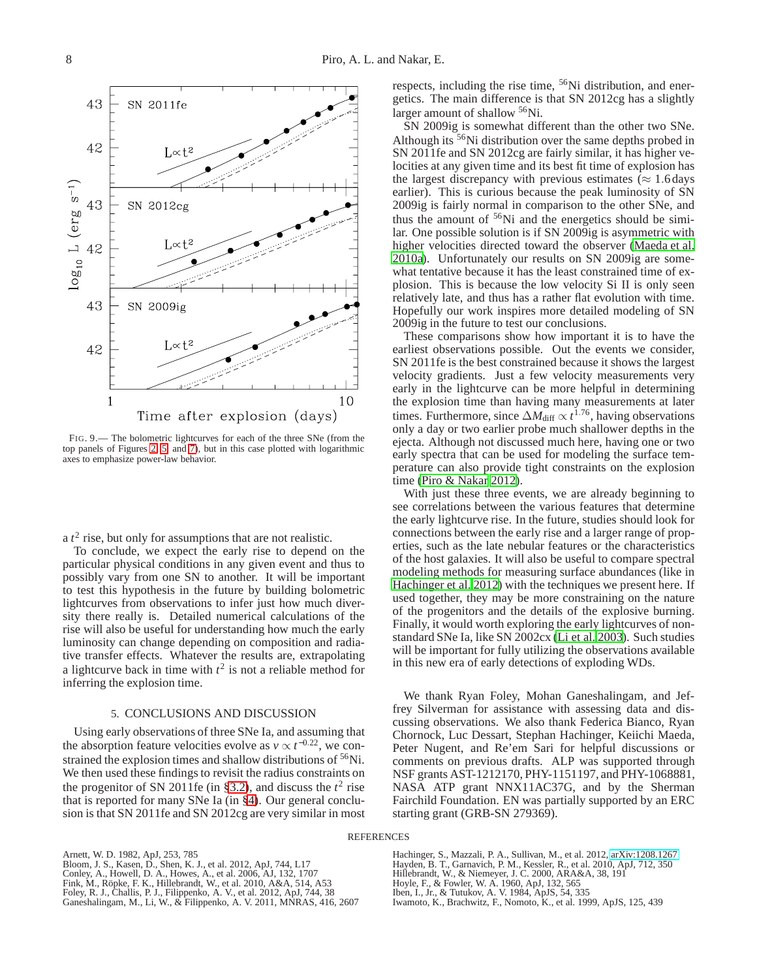

<span id="page-7-12"></span>FIG. 9.— The bolometric lightcurves for each of the three SNe (from the top panels of Figures [2,](#page-3-0) [5,](#page-4-2) and [7\)](#page-5-1), but in this case plotted with logarithmic axes to emphasize power-law behavior.

a  $t^2$  rise, but only for assumptions that are not realistic.

To conclude, we expect the early rise to depend on the particular physical conditions in any given event and thus to possibly vary from one SN to another. It will be important to test this hypothesis in the future by building bolometric lightcurves from observations to infer just how much diversity there really is. Detailed numerical calculations of the rise will also be useful for understanding how much the early luminosity can change depending on composition and radiative transfer effects. Whatever the results are, extrapolating a lightcurve back in time with  $t^2$  is not a reliable method for inferring the explosion time.

#### 5. CONCLUSIONS AND DISCUSSION

<span id="page-7-5"></span>Using early observations of three SNe Ia, and assuming that the absorption feature velocities evolve as  $v \propto t^{-0.22}$ , we constrained the explosion times and shallow distributions of <sup>56</sup>Ni. We then used these findings to revisit the radius constraints on the progenitor of SN 2011fe (in [§3.2\)](#page-3-2), and discuss the  $t^2$  rise that is reported for many SNe Ia (in [§4\)](#page-6-0). Our general conclusion is that SN 2011fe and SN 2012cg are very similar in most respects, including the rise time, <sup>56</sup>Ni distribution, and energetics. The main difference is that SN 2012cg has a slightly larger amount of shallow <sup>56</sup>Ni.

SN 2009ig is somewhat different than the other two SNe. Although its <sup>56</sup>Ni distribution over the same depths probed in SN 2011fe and SN 2012cg are fairly similar, it has higher velocities at any given time and its best fit time of explosion has the largest discrepancy with previous estimates ( $\approx 1.6$  days earlier). This is curious because the peak luminosity of SN 2009ig is fairly normal in comparison to the other SNe, and thus the amount of  $56$ Ni and the energetics should be similar. One possible solution is if SN 2009ig is asymmetric with higher velocities directed toward the observer [\(Maeda et al.](#page-8-27) [2010a\)](#page-8-27). Unfortunately our results on SN 2009ig are somewhat tentative because it has the least constrained time of explosion. This is because the low velocity Si II is only seen relatively late, and thus has a rather flat evolution with time. Hopefully our work inspires more detailed modeling of SN 2009ig in the future to test our conclusions.

These comparisons show how important it is to have the earliest observations possible. Out the events we consider, SN 2011fe is the best constrained because it shows the largest velocity gradients. Just a few velocity measurements very early in the lightcurve can be more helpful in determining the explosion time than having many measurements at later times. Furthermore, since  $\Delta M_{\text{diff}} \propto t^{1.76}$ , having observations only a day or two earlier probe much shallower depths in the ejecta. Although not discussed much here, having one or two early spectra that can be used for modeling the surface temperature can also provide tight constraints on the explosion time [\(Piro & Nakar 2012](#page-8-11)).

With just these three events, we are already beginning to see correlations between the various features that determine the early lightcurve rise. In the future, studies should look for connections between the early rise and a larger range of properties, such as the late nebular features or the characteristics of the host galaxies. It will also be useful to compare spectral modeling methods for measuring surface abundances (like in [Hachinger et al. 2012](#page-7-4)) with the techniques we present here. If used together, they may be more constraining on the nature of the progenitors and the details of the explosive burning. Finally, it would worth exploring the early lightcurves of nonstandard SNe Ia, like SN 2002cx [\(Li et al. 2003\)](#page-8-37). Such studies will be important for fully utilizing the observations available in this new era of early detections of exploding WDs.

We thank Ryan Foley, Mohan Ganeshalingam, and Jeffrey Silverman for assistance with assessing data and discussing observations. We also thank Federica Bianco, Ryan Chornock, Luc Dessart, Stephan Hachinger, Keiichi Maeda, Peter Nugent, and Re'em Sari for helpful discussions or comments on previous drafts. ALP was supported through NSF grants AST-1212170, PHY-1151197, and PHY-1068881, NASA ATP grant NNX11AC37G, and by the Sherman Fairchild Foundation. EN was partially supported by an ERC starting grant (GRB-SN 279369).

#### **REFERENCES**

<span id="page-7-13"></span><span id="page-7-11"></span><span id="page-7-9"></span><span id="page-7-8"></span><span id="page-7-7"></span><span id="page-7-6"></span>Arnett, W. D. 1982, ApJ, 253, 785 Bloom, J. S., Kasen, D., Shen, K. J., et al. 2012, ApJ, 744, L17 Conley, A., Howell, D. A., Howes, A., et al. 2006, AJ, 132, 1707<br>Fink, M., Röpke, F. K., Hillebrandt, W., et al. 2010, A&A, 514, A53<br>Foley, R. J., Challis, P. J., Filippenko, A. V., et al. 2012, ApJ, 744, 38<br>Ganeshalingam,

<span id="page-7-10"></span><span id="page-7-4"></span><span id="page-7-1"></span>Hachinger, S., Mazzali, P. A., Sullivan, M., et al. 2012, [arXiv:1208.1267](http://arxiv.org/abs/1208.1267) Hayden, B. T., Garnavich, P. M., Kessler, R., et al. 2010, ApJ, 712, 350 Hillebrandt, W., & Niemeyer, J. C. 2000, ARA&A, 38, 191 Hoyle, F., & Fowler, W. A. 1960, ApJ, 132, 565 Iben, I., Jr., & Tutukov, A. V. 1984, ApJS, 54, 335

<span id="page-7-3"></span><span id="page-7-2"></span><span id="page-7-0"></span>Iwamoto, K., Brachwitz, F., Nomoto, K., et al. 1999, ApJS, 125, 439